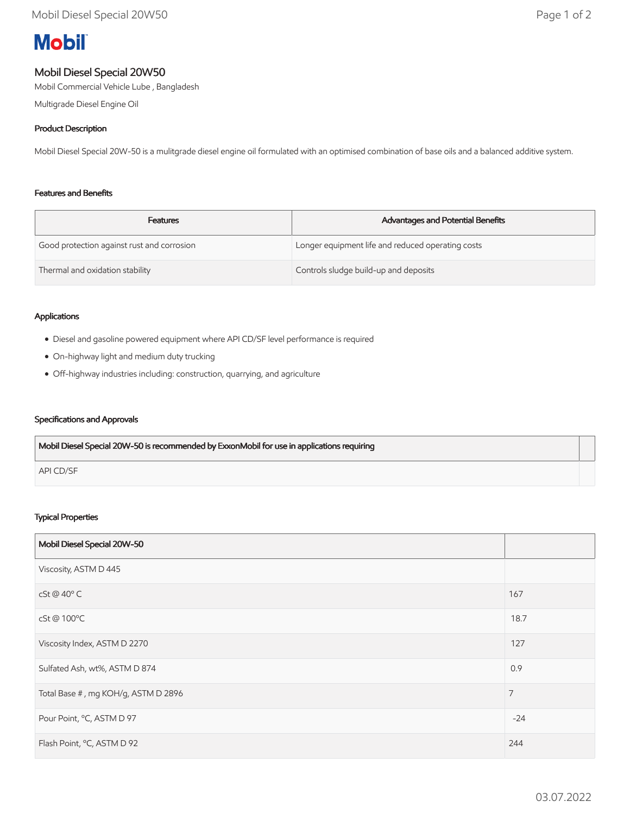# **Mobil**

# Mobil Diesel Special 20W50

Mobil Commercial Vehicle Lube , Bangladesh

Multigrade Diesel Engine Oil

## Product Description

Mobil Diesel Special 20W-50 is a mulitgrade diesel engine oil formulated with an optimised combination of base oils and a balanced additive system.

## Features and Benefits

| <b>Features</b>                            | Advantages and Potential Benefits                 |
|--------------------------------------------|---------------------------------------------------|
| Good protection against rust and corrosion | Longer equipment life and reduced operating costs |
| Thermal and oxidation stability            | Controls sludge build-up and deposits             |

## Applications

- Diesel and gasoline powered equipment where API CD/SF level performance is required
- On-highway light and medium duty trucking
- Off-highway industries including: construction, quarrying, and agriculture

## Specifications and Approvals

| Mobil Diesel Special 20W-50 is recommended by ExxonMobil for use in applications requiring |  |
|--------------------------------------------------------------------------------------------|--|
| API CD/SF                                                                                  |  |

## Typical Properties

| Mobil Diesel Special 20W-50         |                |
|-------------------------------------|----------------|
| Viscosity, ASTM D 445               |                |
| cSt @ 40°C                          | 167            |
| cSt@100°C                           | 18.7           |
| Viscosity Index, ASTM D 2270        | 127            |
| Sulfated Ash, wt%, ASTM D 874       | 0.9            |
| Total Base #, mg KOH/g, ASTM D 2896 | $\overline{7}$ |
| Pour Point, °C, ASTM D 97           | $-24$          |
| Flash Point, °C, ASTM D 92          | 244            |